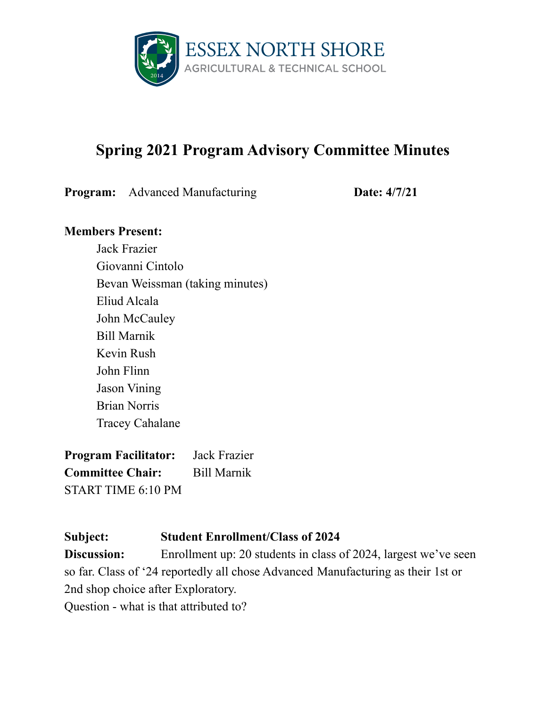

# **Spring 2021 Program Advisory Committee Minutes**

**Program:** Advanced Manufacturing **Date:** 4/7/21

#### **Members Present:**

Jack Frazier Giovanni Cintolo Bevan Weissman (taking minutes) Eliud Alcala John McCauley Bill Marnik Kevin Rush John Flinn Jason Vining Brian Norris Tracey Cahalane

**Program Facilitator:** Jack Frazier **Committee Chair:** Bill Marnik START TIME 6:10 PM

## **Subject: Student Enrollment/Class of 2024**

**Discussion:** Enrollment up: 20 students in class of 2024, largest we've seen so far. Class of '24 reportedly all chose Advanced Manufacturing as their 1st or 2nd shop choice after Exploratory.

Question - what is that attributed to?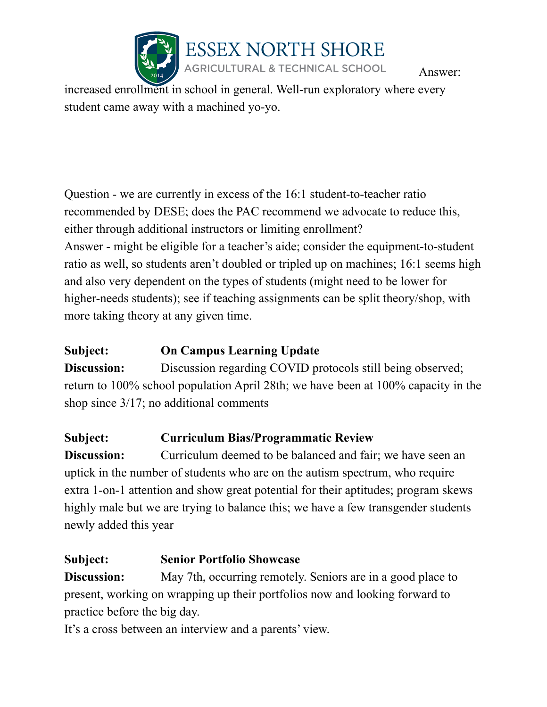

Answer:

increased enrollment in school in general. Well-run exploratory where every student came away with a machined yo-yo.

Question - we are currently in excess of the 16:1 student-to-teacher ratio recommended by DESE; does the PAC recommend we advocate to reduce this, either through additional instructors or limiting enrollment? Answer - might be eligible for a teacher's aide; consider the equipment-to-student ratio as well, so students aren't doubled or tripled up on machines; 16:1 seems high and also very dependent on the types of students (might need to be lower for higher-needs students); see if teaching assignments can be split theory/shop, with more taking theory at any given time.

## **Subject: On Campus Learning Update**

**Discussion:** Discussion regarding COVID protocols still being observed; return to 100% school population April 28th; we have been at 100% capacity in the shop since 3/17; no additional comments

## **Subject: Curriculum Bias/Programmatic Review**

**Discussion:** Curriculum deemed to be balanced and fair; we have seen an uptick in the number of students who are on the autism spectrum, who require extra 1-on-1 attention and show great potential for their aptitudes; program skews highly male but we are trying to balance this; we have a few transgender students newly added this year

## **Subject: Senior Portfolio Showcase**

**Discussion:** May 7th, occurring remotely. Seniors are in a good place to present, working on wrapping up their portfolios now and looking forward to practice before the big day.

It's a cross between an interview and a parents' view.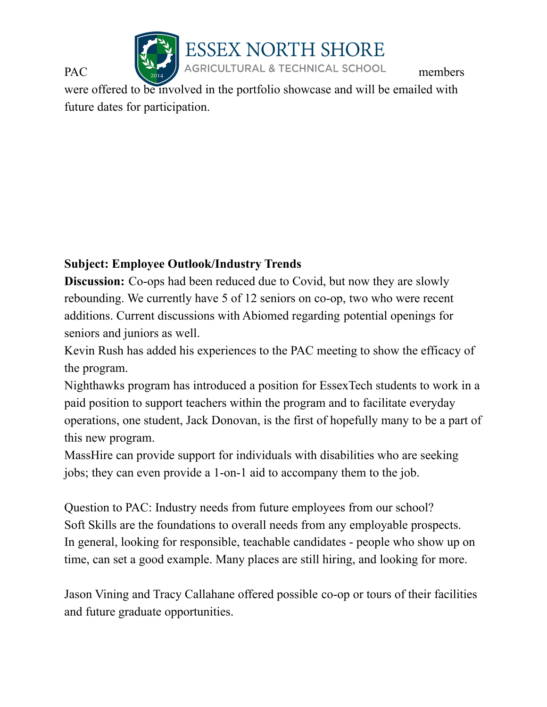

were offered to be involved in the portfolio showcase and will be emailed with future dates for participation.

## **Subject: Employee Outlook/Industry Trends**

**Discussion:** Co-ops had been reduced due to Covid, but now they are slowly rebounding. We currently have 5 of 12 seniors on co-op, two who were recent additions. Current discussions with Abiomed regarding potential openings for seniors and juniors as well.

Kevin Rush has added his experiences to the PAC meeting to show the efficacy of the program.

Nighthawks program has introduced a position for EssexTech students to work in a paid position to support teachers within the program and to facilitate everyday operations, one student, Jack Donovan, is the first of hopefully many to be a part of this new program.

MassHire can provide support for individuals with disabilities who are seeking jobs; they can even provide a 1-on-1 aid to accompany them to the job.

Question to PAC: Industry needs from future employees from our school? Soft Skills are the foundations to overall needs from any employable prospects. In general, looking for responsible, teachable candidates - people who show up on time, can set a good example. Many places are still hiring, and looking for more.

Jason Vining and Tracy Callahane offered possible co-op or tours of their facilities and future graduate opportunities.